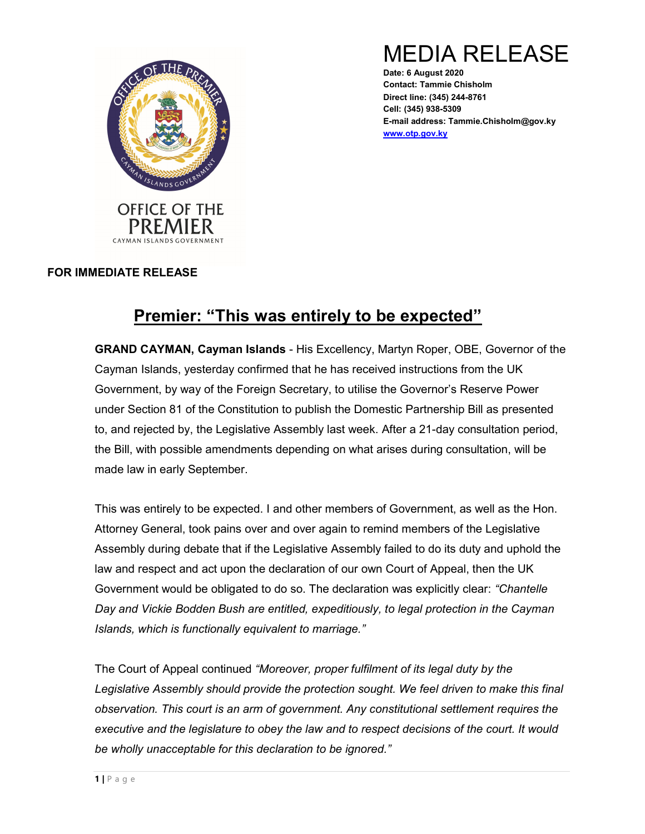

MEDIA RELEASE

Date: 6 August 2020 Contact: Tammie Chisholm Direct line: (345) 244-8761 Cell: (345) 938-5309 E-mail address: Tammie.Chisholm@gov.ky www.otp.gov.ky

## FOR IMMEDIATE RELEASE

## Premier: "This was entirely to be expected"

GRAND CAYMAN, Cayman Islands - His Excellency, Martyn Roper, OBE, Governor of the Cayman Islands, yesterday confirmed that he has received instructions from the UK Government, by way of the Foreign Secretary, to utilise the Governor's Reserve Power under Section 81 of the Constitution to publish the Domestic Partnership Bill as presented to, and rejected by, the Legislative Assembly last week. After a 21-day consultation period, the Bill, with possible amendments depending on what arises during consultation, will be made law in early September.

This was entirely to be expected. I and other members of Government, as well as the Hon. Attorney General, took pains over and over again to remind members of the Legislative Assembly during debate that if the Legislative Assembly failed to do its duty and uphold the law and respect and act upon the declaration of our own Court of Appeal, then the UK Government would be obligated to do so. The declaration was explicitly clear: "Chantelle Day and Vickie Bodden Bush are entitled, expeditiously, to legal protection in the Cayman Islands, which is functionally equivalent to marriage."

The Court of Appeal continued "Moreover, proper fulfilment of its legal duty by the Legislative Assembly should provide the protection sought. We feel driven to make this final observation. This court is an arm of government. Any constitutional settlement requires the executive and the legislature to obey the law and to respect decisions of the court. It would be wholly unacceptable for this declaration to be ignored."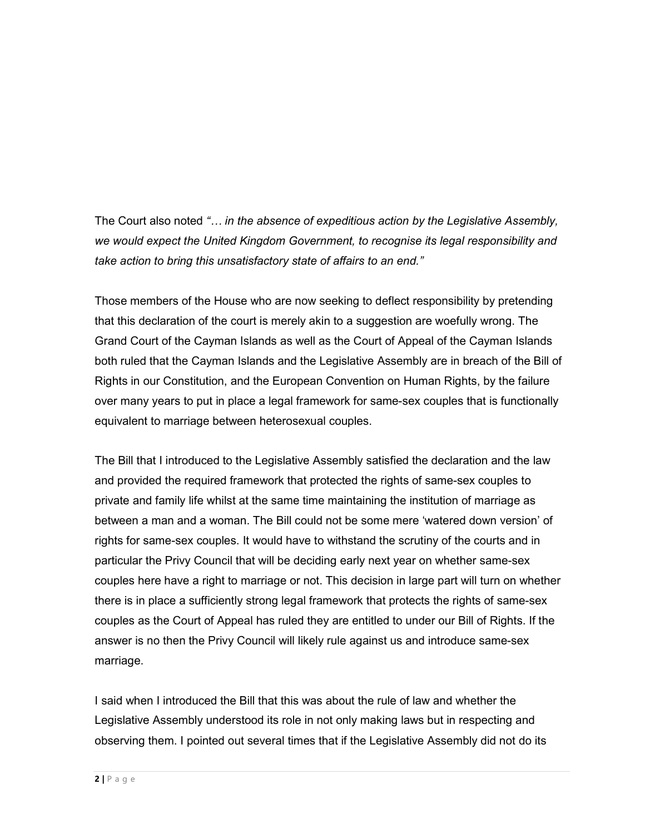The Court also noted "... in the absence of expeditious action by the Legislative Assembly, we would expect the United Kingdom Government, to recognise its legal responsibility and take action to bring this unsatisfactory state of affairs to an end."

Those members of the House who are now seeking to deflect responsibility by pretending that this declaration of the court is merely akin to a suggestion are woefully wrong. The Grand Court of the Cayman Islands as well as the Court of Appeal of the Cayman Islands both ruled that the Cayman Islands and the Legislative Assembly are in breach of the Bill of Rights in our Constitution, and the European Convention on Human Rights, by the failure over many years to put in place a legal framework for same-sex couples that is functionally equivalent to marriage between heterosexual couples.

The Bill that I introduced to the Legislative Assembly satisfied the declaration and the law and provided the required framework that protected the rights of same-sex couples to private and family life whilst at the same time maintaining the institution of marriage as between a man and a woman. The Bill could not be some mere 'watered down version' of rights for same-sex couples. It would have to withstand the scrutiny of the courts and in particular the Privy Council that will be deciding early next year on whether same-sex couples here have a right to marriage or not. This decision in large part will turn on whether there is in place a sufficiently strong legal framework that protects the rights of same-sex couples as the Court of Appeal has ruled they are entitled to under our Bill of Rights. If the answer is no then the Privy Council will likely rule against us and introduce same-sex marriage.

I said when I introduced the Bill that this was about the rule of law and whether the Legislative Assembly understood its role in not only making laws but in respecting and observing them. I pointed out several times that if the Legislative Assembly did not do its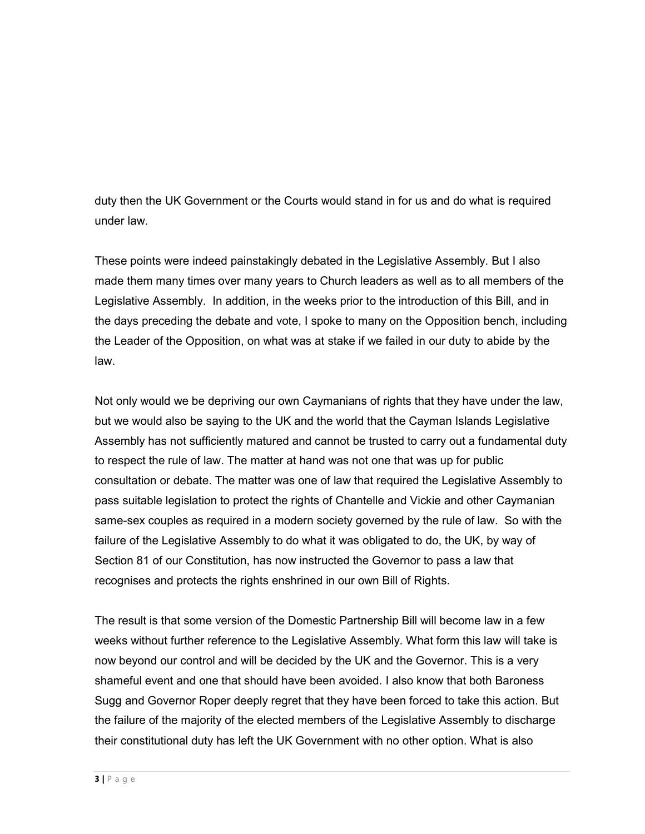duty then the UK Government or the Courts would stand in for us and do what is required under law.

These points were indeed painstakingly debated in the Legislative Assembly. But I also made them many times over many years to Church leaders as well as to all members of the Legislative Assembly. In addition, in the weeks prior to the introduction of this Bill, and in the days preceding the debate and vote, I spoke to many on the Opposition bench, including the Leader of the Opposition, on what was at stake if we failed in our duty to abide by the law.

Not only would we be depriving our own Caymanians of rights that they have under the law, but we would also be saying to the UK and the world that the Cayman Islands Legislative Assembly has not sufficiently matured and cannot be trusted to carry out a fundamental duty to respect the rule of law. The matter at hand was not one that was up for public consultation or debate. The matter was one of law that required the Legislative Assembly to pass suitable legislation to protect the rights of Chantelle and Vickie and other Caymanian same-sex couples as required in a modern society governed by the rule of law. So with the failure of the Legislative Assembly to do what it was obligated to do, the UK, by way of Section 81 of our Constitution, has now instructed the Governor to pass a law that recognises and protects the rights enshrined in our own Bill of Rights.

The result is that some version of the Domestic Partnership Bill will become law in a few weeks without further reference to the Legislative Assembly. What form this law will take is now beyond our control and will be decided by the UK and the Governor. This is a very shameful event and one that should have been avoided. I also know that both Baroness Sugg and Governor Roper deeply regret that they have been forced to take this action. But the failure of the majority of the elected members of the Legislative Assembly to discharge their constitutional duty has left the UK Government with no other option. What is also